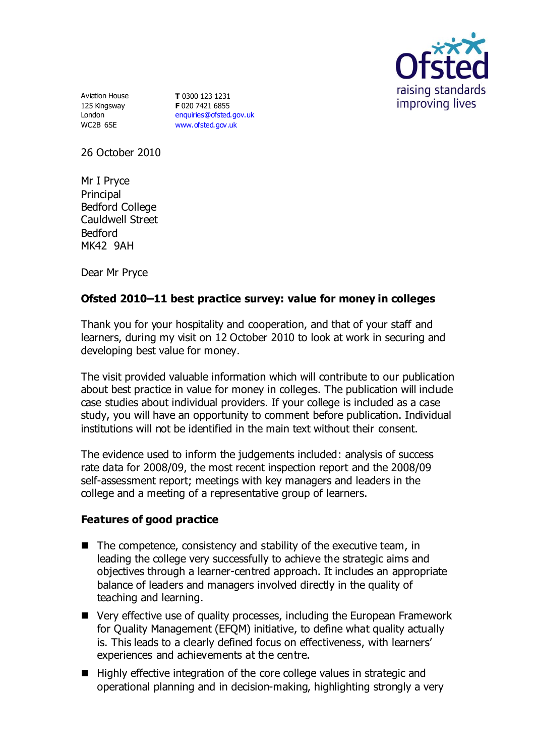

Aviation House 125 Kingsway London WC2B 6SE

**T** 0300 123 1231 **F** 020 7421 6855 [enquiries@ofsted.gov.uk](mailto:enquiries@ofsted.gov.uk) [www.ofsted.gov.uk](http://www.ofsted.gov.uk/)

26 October 2010

Mr I Pryce Principal Bedford College Cauldwell Street Bedford MK42 9AH

Dear Mr Pryce

## **Ofsted 2010–11 best practice survey: value for money in colleges**

Thank you for your hospitality and cooperation, and that of your staff and learners, during my visit on 12 October 2010 to look at work in securing and developing best value for money.

The visit provided valuable information which will contribute to our publication about best practice in value for money in colleges. The publication will include case studies about individual providers. If your college is included as a case study, you will have an opportunity to comment before publication. Individual institutions will not be identified in the main text without their consent.

The evidence used to inform the judgements included: analysis of success rate data for 2008/09, the most recent inspection report and the 2008/09 self-assessment report; meetings with key managers and leaders in the college and a meeting of a representative group of learners.

## **Features of good practice**

- The competence, consistency and stability of the executive team, in leading the college very successfully to achieve the strategic aims and objectives through a learner-centred approach. It includes an appropriate balance of leaders and managers involved directly in the quality of teaching and learning.
- Very effective use of quality processes, including the European Framework for Quality Management (EFQM) initiative, to define what quality actually is. This leads to a clearly defined focus on effectiveness, with learners' experiences and achievements at the centre.
- Highly effective integration of the core college values in strategic and operational planning and in decision-making, highlighting strongly a very